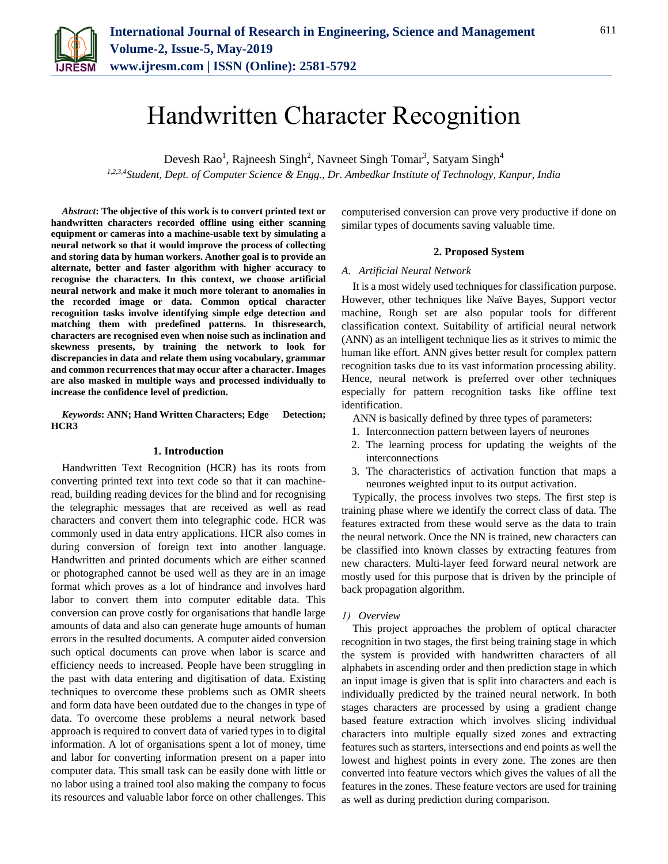

# Handwritten Character Recognition

Devesh Rao<sup>1</sup>, Rajneesh Singh<sup>2</sup>, Navneet Singh Tomar<sup>3</sup>, Satyam Singh<sup>4</sup> *1,2,3,4Student, Dept. of Computer Science & Engg., Dr. Ambedkar Institute of Technology, Kanpur, India*

*Abstract***: The objective of this work is to convert printed text or handwritten characters recorded offline using either scanning equipment or cameras into a machine-usable text by simulating a neural network so that it would improve the process of collecting and storing data by human workers. Another goal is to provide an alternate, better and faster algorithm with higher accuracy to recognise the characters. In this context, we choose artificial neural network and make it much more tolerant to anomalies in the recorded image or data. Common optical character recognition tasks involve identifying simple edge detection and matching them with predefined patterns. In thisresearch, characters are recognised even when noise such as inclination and skewness presents, by training the network to look for discrepancies in data and relate them using vocabulary, grammar and common recurrences that may occur after a character. Images are also masked in multiple ways and processed individually to increase the confidence level of prediction.**

*Keywords***: ANN; Hand Written Characters; Edge Detection; HCR3**

#### **1. Introduction**

Handwritten Text Recognition (HCR) has its roots from converting printed text into text code so that it can machineread, building reading devices for the blind and for recognising the telegraphic messages that are received as well as read characters and convert them into telegraphic code. HCR was commonly used in data entry applications. HCR also comes in during conversion of foreign text into another language. Handwritten and printed documents which are either scanned or photographed cannot be used well as they are in an image format which proves as a lot of hindrance and involves hard labor to convert them into computer editable data. This conversion can prove costly for organisations that handle large amounts of data and also can generate huge amounts of human errors in the resulted documents. A computer aided conversion such optical documents can prove when labor is scarce and efficiency needs to increased. People have been struggling in the past with data entering and digitisation of data. Existing techniques to overcome these problems such as OMR sheets and form data have been outdated due to the changes in type of data. To overcome these problems a neural network based approach is required to convert data of varied types in to digital information. A lot of organisations spent a lot of money, time and labor for converting information present on a paper into computer data. This small task can be easily done with little or no labor using a trained tool also making the company to focus its resources and valuable labor force on other challenges. This

computerised conversion can prove very productive if done on similar types of documents saving valuable time.

### **2. Proposed System**

#### *A. Artificial Neural Network*

It is a most widely used techniques for classification purpose. However, other techniques like Naïve Bayes, Support vector machine, Rough set are also popular tools for different classification context. Suitability of artificial neural network (ANN) as an intelligent technique lies as it strives to mimic the human like effort. ANN gives better result for complex pattern recognition tasks due to its vast information processing ability. Hence, neural network is preferred over other techniques especially for pattern recognition tasks like offline text identification.

ANN is basically defined by three types of parameters:

- 1. Interconnection pattern between layers of neurones
- 2. The learning process for updating the weights of the interconnections
- 3. The characteristics of activation function that maps a neurones weighted input to its output activation.

Typically, the process involves two steps. The first step is training phase where we identify the correct class of data. The features extracted from these would serve as the data to train the neural network. Once the NN is trained, new characters can be classified into known classes by extracting features from new characters. Multi-layer feed forward neural network are mostly used for this purpose that is driven by the principle of back propagation algorithm.

#### *1) Overview*

This project approaches the problem of optical character recognition in two stages, the first being training stage in which the system is provided with handwritten characters of all alphabets in ascending order and then prediction stage in which an input image is given that is split into characters and each is individually predicted by the trained neural network. In both stages characters are processed by using a gradient change based feature extraction which involves slicing individual characters into multiple equally sized zones and extracting features such as starters, intersections and end points as well the lowest and highest points in every zone. The zones are then converted into feature vectors which gives the values of all the features in the zones. These feature vectors are used for training as well as during prediction during comparison.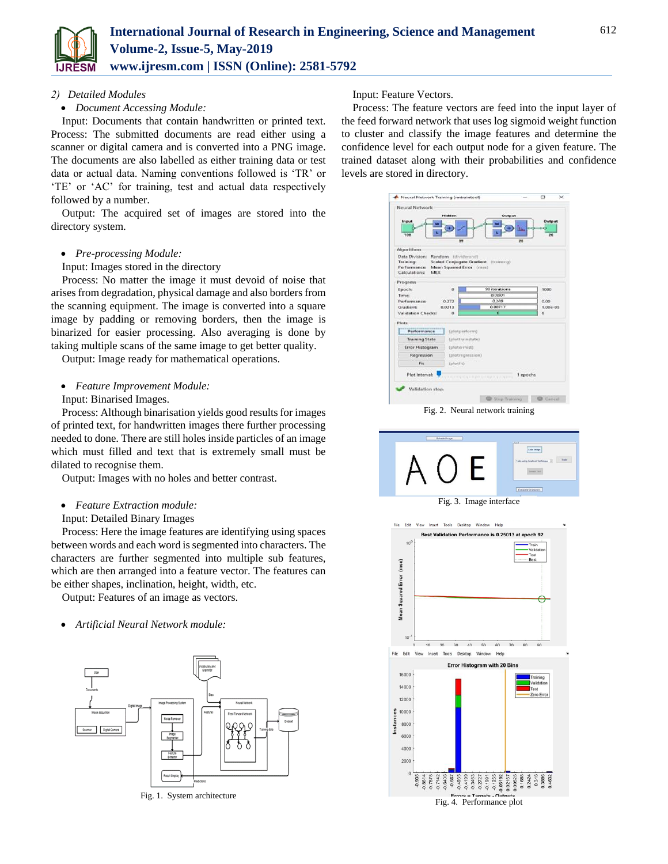

# *2) Detailed Modules*

# *Document Accessing Module:*

Input: Documents that contain handwritten or printed text. Process: The submitted documents are read either using a scanner or digital camera and is converted into a PNG image. The documents are also labelled as either training data or test data or actual data. Naming conventions followed is 'TR' or 'TE' or 'AC' for training, test and actual data respectively followed by a number.

Output: The acquired set of images are stored into the directory system.

## *Pre-processing Module:*

#### Input: Images stored in the directory

Process: No matter the image it must devoid of noise that arises from degradation, physical damage and also borders from the scanning equipment. The image is converted into a square image by padding or removing borders, then the image is binarized for easier processing. Also averaging is done by taking multiple scans of the same image to get better quality.

Output: Image ready for mathematical operations.

*Feature Improvement Module:* 

Input: Binarised Images.

Process: Although binarisation yields good results for images of printed text, for handwritten images there further processing needed to done. There are still holes inside particles of an image which must filled and text that is extremely small must be dilated to recognise them.

Output: Images with no holes and better contrast.

# *Feature Extraction module:*

Input: Detailed Binary Images

Process: Here the image features are identifying using spaces between words and each word is segmented into characters. The characters are further segmented into multiple sub features, which are then arranged into a feature vector. The features can be either shapes, inclination, height, width, etc.

Output: Features of an image as vectors.

*Artificial Neural Network module:* 



Fig. 1. System architecture

# Input: Feature Vectors.

Process: The feature vectors are feed into the input layer of the feed forward network that uses log sigmoid weight function to cluster and classify the image features and determine the confidence level for each output node for a given feature. The trained dataset along with their probabilities and confidence levels are stored in directory.